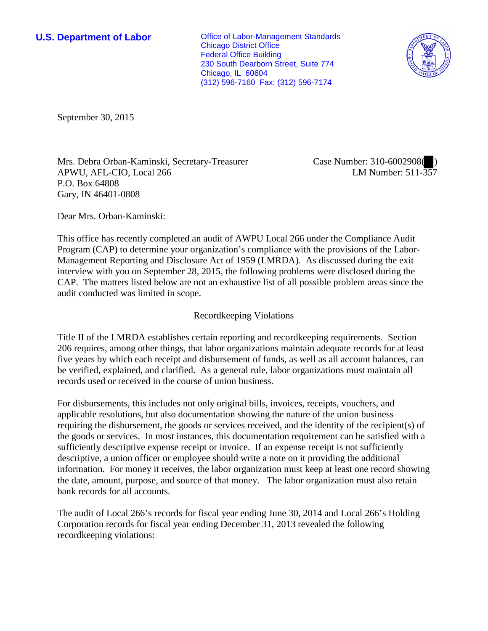**U.S. Department of Labor Conservative Conservative Conservative Conservative Conservative Conservative Conservative Conservative Conservative Conservative Conservative Conservative Conservative Conservative Conservative** Chicago District Office Federal Office Building 230 South Dearborn Street, Suite 774 Chicago, IL 60604 (312) 596-7160 Fax: (312) 596-7174



September 30, 2015

Mrs. Debra Orban-Kaminski, Secretary-Treasurer APWU, AFL-CIO, Local 266 P.O. Box 64808 Gary, IN 46401-0808

Case Number: 310-6002908( ) LM Number: 511-357

Dear Mrs. Orban-Kaminski:

This office has recently completed an audit of AWPU Local 266 under the Compliance Audit Program (CAP) to determine your organization's compliance with the provisions of the Labor-Management Reporting and Disclosure Act of 1959 (LMRDA). As discussed during the exit interview with you on September 28, 2015, the following problems were disclosed during the CAP. The matters listed below are not an exhaustive list of all possible problem areas since the audit conducted was limited in scope.

## Recordkeeping Violations

Title II of the LMRDA establishes certain reporting and recordkeeping requirements. Section 206 requires, among other things, that labor organizations maintain adequate records for at least five years by which each receipt and disbursement of funds, as well as all account balances, can be verified, explained, and clarified. As a general rule, labor organizations must maintain all records used or received in the course of union business.

For disbursements, this includes not only original bills, invoices, receipts, vouchers, and applicable resolutions, but also documentation showing the nature of the union business requiring the disbursement, the goods or services received, and the identity of the recipient(s) of the goods or services. In most instances, this documentation requirement can be satisfied with a sufficiently descriptive expense receipt or invoice. If an expense receipt is not sufficiently descriptive, a union officer or employee should write a note on it providing the additional information. For money it receives, the labor organization must keep at least one record showing the date, amount, purpose, and source of that money. The labor organization must also retain bank records for all accounts.

The audit of Local 266's records for fiscal year ending June 30, 2014 and Local 266's Holding Corporation records for fiscal year ending December 31, 2013 revealed the following recordkeeping violations: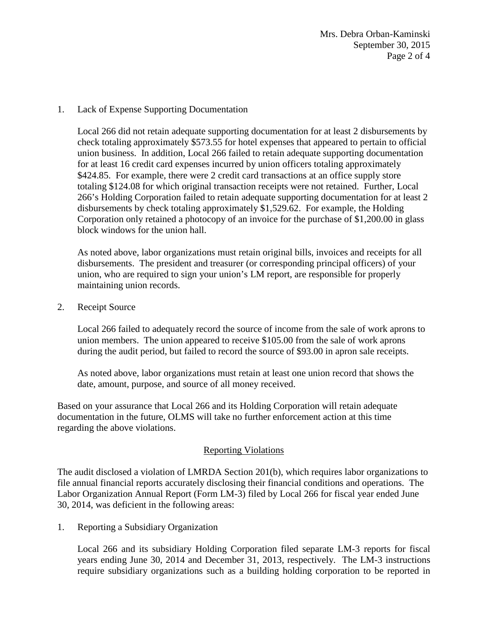Mrs. Debra Orban-Kaminski September 30, 2015 Page 2 of 4

## 1. Lack of Expense Supporting Documentation

Local 266 did not retain adequate supporting documentation for at least 2 disbursements by check totaling approximately \$573.55 for hotel expenses that appeared to pertain to official union business. In addition, Local 266 failed to retain adequate supporting documentation for at least 16 credit card expenses incurred by union officers totaling approximately \$424.85. For example, there were 2 credit card transactions at an office supply store totaling \$124.08 for which original transaction receipts were not retained. Further, Local 266's Holding Corporation failed to retain adequate supporting documentation for at least 2 disbursements by check totaling approximately \$1,529.62. For example, the Holding Corporation only retained a photocopy of an invoice for the purchase of \$1,200.00 in glass block windows for the union hall.

As noted above, labor organizations must retain original bills, invoices and receipts for all disbursements. The president and treasurer (or corresponding principal officers) of your union, who are required to sign your union's LM report, are responsible for properly maintaining union records.

2. Receipt Source

Local 266 failed to adequately record the source of income from the sale of work aprons to union members. The union appeared to receive \$105.00 from the sale of work aprons during the audit period, but failed to record the source of \$93.00 in apron sale receipts.

As noted above, labor organizations must retain at least one union record that shows the date, amount, purpose, and source of all money received.

Based on your assurance that Local 266 and its Holding Corporation will retain adequate documentation in the future, OLMS will take no further enforcement action at this time regarding the above violations.

## Reporting Violations

The audit disclosed a violation of LMRDA Section 201(b), which requires labor organizations to file annual financial reports accurately disclosing their financial conditions and operations. The Labor Organization Annual Report (Form LM-3) filed by Local 266 for fiscal year ended June 30, 2014, was deficient in the following areas:

1. Reporting a Subsidiary Organization

Local 266 and its subsidiary Holding Corporation filed separate LM-3 reports for fiscal years ending June 30, 2014 and December 31, 2013, respectively. The LM-3 instructions require subsidiary organizations such as a building holding corporation to be reported in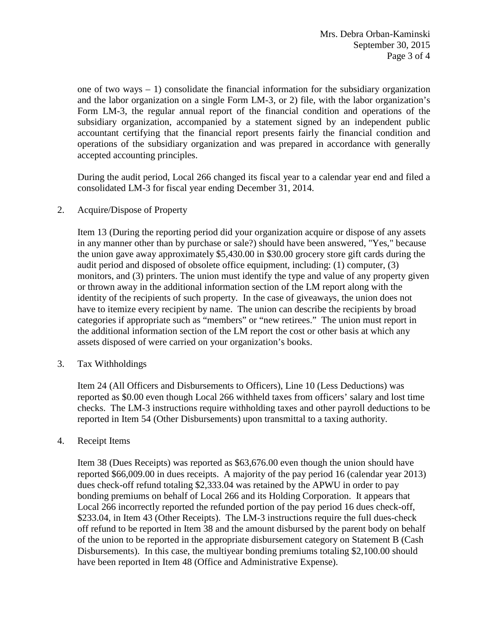one of two ways  $-1$ ) consolidate the financial information for the subsidiary organization and the labor organization on a single Form LM-3, or 2) file, with the labor organization's Form LM-3, the regular annual report of the financial condition and operations of the subsidiary organization, accompanied by a statement signed by an independent public accountant certifying that the financial report presents fairly the financial condition and operations of the subsidiary organization and was prepared in accordance with generally accepted accounting principles.

During the audit period, Local 266 changed its fiscal year to a calendar year end and filed a consolidated LM-3 for fiscal year ending December 31, 2014.

2. Acquire/Dispose of Property

Item 13 (During the reporting period did your organization acquire or dispose of any assets in any manner other than by purchase or sale?) should have been answered, "Yes," because the union gave away approximately \$5,430.00 in \$30.00 grocery store gift cards during the audit period and disposed of obsolete office equipment, including: (1) computer, (3) monitors, and (3) printers. The union must identify the type and value of any property given or thrown away in the additional information section of the LM report along with the identity of the recipients of such property. In the case of giveaways, the union does not have to itemize every recipient by name. The union can describe the recipients by broad categories if appropriate such as "members" or "new retirees." The union must report in the additional information section of the LM report the cost or other basis at which any assets disposed of were carried on your organization's books.

3. Tax Withholdings

Item 24 (All Officers and Disbursements to Officers), Line 10 (Less Deductions) was reported as \$0.00 even though Local 266 withheld taxes from officers' salary and lost time checks. The LM-3 instructions require withholding taxes and other payroll deductions to be reported in Item 54 (Other Disbursements) upon transmittal to a taxing authority.

## 4. Receipt Items

Item 38 (Dues Receipts) was reported as \$63,676.00 even though the union should have reported \$66,009.00 in dues receipts. A majority of the pay period 16 (calendar year 2013) dues check-off refund totaling \$2,333.04 was retained by the APWU in order to pay bonding premiums on behalf of Local 266 and its Holding Corporation. It appears that Local 266 incorrectly reported the refunded portion of the pay period 16 dues check-off, \$233.04, in Item 43 (Other Receipts). The LM-3 instructions require the full dues-check off refund to be reported in Item 38 and the amount disbursed by the parent body on behalf of the union to be reported in the appropriate disbursement category on Statement B (Cash Disbursements). In this case, the multiyear bonding premiums totaling \$2,100.00 should have been reported in Item 48 (Office and Administrative Expense).